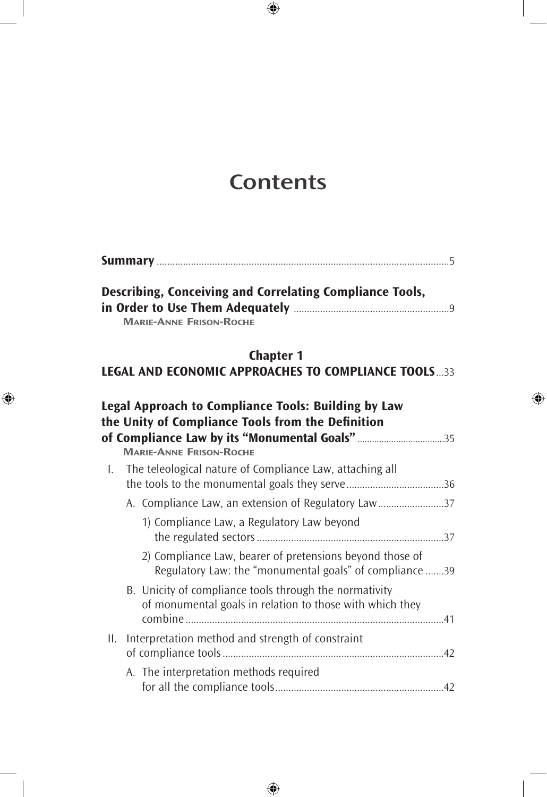# **Contents**

 $\bigoplus$ 

|--|

|                                | Describing, Conceiving and Correlating Compliance Tools, |
|--------------------------------|----------------------------------------------------------|
|                                |                                                          |
| <b>MARIE-ANNE FRISON-ROCHE</b> |                                                          |

### **Chapter 1 LEGAL AND ECONOMIC APPROACHES TO COMPLIANCE TOOLS**...33

 $\bigoplus$ 

 $\bigoplus$ 

|                   | Legal Approach to Compliance Tools: Building by Law<br>the Unity of Compliance Tools from the Definition<br>of Compliance Law by its "Monumental Goals"35 |  |
|-------------------|-----------------------------------------------------------------------------------------------------------------------------------------------------------|--|
|                   | <b>MARIE-ANNE FRISON-ROCHE</b>                                                                                                                            |  |
| $\mathsf{L}$      | The teleological nature of Compliance Law, attaching all                                                                                                  |  |
|                   | A. Compliance Law, an extension of Regulatory Law37                                                                                                       |  |
|                   | 1) Compliance Law, a Regulatory Law beyond                                                                                                                |  |
|                   | 2) Compliance Law, bearer of pretensions beyond those of<br>Regulatory Law: the "monumental goals" of compliance 39                                       |  |
|                   | B. Unicity of compliance tools through the normativity<br>of monumental goals in relation to those with which they                                        |  |
| $\prod_{i=1}^{n}$ | Interpretation method and strength of constraint                                                                                                          |  |
|                   | A. The interpretation methods required                                                                                                                    |  |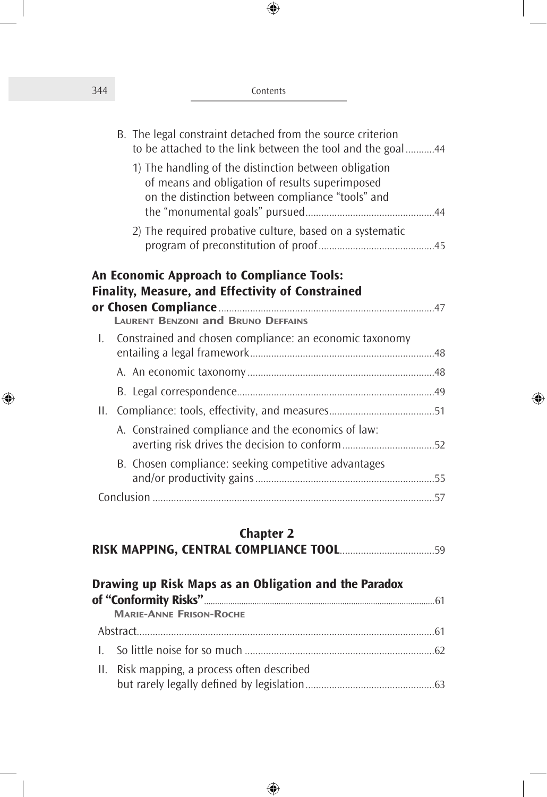| 344 | Contents |
|-----|----------|
|-----|----------|

|     | B. The legal constraint detached from the source criterion<br>to be attached to the link between the tool and the goal44                                      |  |
|-----|---------------------------------------------------------------------------------------------------------------------------------------------------------------|--|
|     | 1) The handling of the distinction between obligation<br>of means and obligation of results superimposed<br>on the distinction between compliance "tools" and |  |
|     | 2) The required probative culture, based on a systematic                                                                                                      |  |
|     | <b>An Economic Approach to Compliance Tools:</b>                                                                                                              |  |
|     |                                                                                                                                                               |  |
|     | Finality, Measure, and Effectivity of Constrained                                                                                                             |  |
|     | <b>LAURENT BENZONI and BRUNO DEFFAINS</b>                                                                                                                     |  |
|     | 1. Constrained and chosen compliance: an economic taxonomy                                                                                                    |  |
|     |                                                                                                                                                               |  |
|     |                                                                                                                                                               |  |
| II. |                                                                                                                                                               |  |
|     | A. Constrained compliance and the economics of law:<br>averting risk drives the decision to conform52                                                         |  |
|     | B. Chosen compliance: seeking competitive advantages                                                                                                          |  |

 $\bigoplus$ 

#### **Chapter 2**

|--|--|

| Drawing up Risk Maps as an Obligation and the Paradox |                                             |  |
|-------------------------------------------------------|---------------------------------------------|--|
|                                                       |                                             |  |
|                                                       | <b>MARIE-ANNE FRISON-ROCHE</b>              |  |
|                                                       |                                             |  |
|                                                       |                                             |  |
|                                                       | II. Risk mapping, a process often described |  |

 $\bigoplus$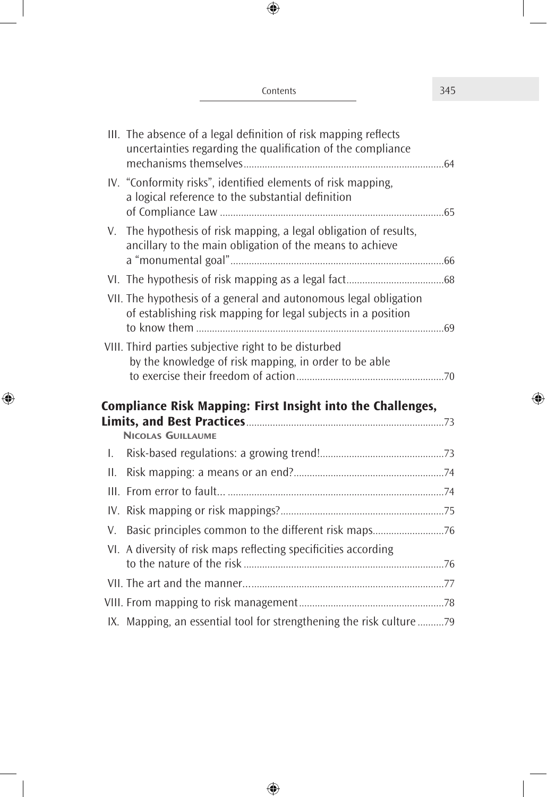|              | III. The absence of a legal definition of risk mapping reflects                                                                   |  |
|--------------|-----------------------------------------------------------------------------------------------------------------------------------|--|
|              | uncertainties regarding the qualification of the compliance                                                                       |  |
|              | IV. "Conformity risks", identified elements of risk mapping,<br>a logical reference to the substantial definition                 |  |
|              | V. The hypothesis of risk mapping, a legal obligation of results,<br>ancillary to the main obligation of the means to achieve     |  |
|              |                                                                                                                                   |  |
|              | VII. The hypothesis of a general and autonomous legal obligation<br>of establishing risk mapping for legal subjects in a position |  |
|              | VIII. Third parties subjective right to be disturbed<br>by the knowledge of risk mapping, in order to be able                     |  |
|              | <b>Compliance Risk Mapping: First Insight into the Challenges,</b>                                                                |  |
|              | <b>NICOLAS GUILLAUME</b>                                                                                                          |  |
| $\mathsf{L}$ |                                                                                                                                   |  |
| II.          |                                                                                                                                   |  |
|              |                                                                                                                                   |  |
|              |                                                                                                                                   |  |
| V.           | Basic principles common to the different risk maps76                                                                              |  |
|              | VI. A diversity of risk maps reflecting specificities according                                                                   |  |
|              |                                                                                                                                   |  |
|              |                                                                                                                                   |  |
|              | IX. Mapping, an essential tool for strengthening the risk culture 79                                                              |  |

Contents 345

 $\bigoplus$ 

 $\overline{\phantom{a}}$ 

 $\bigoplus$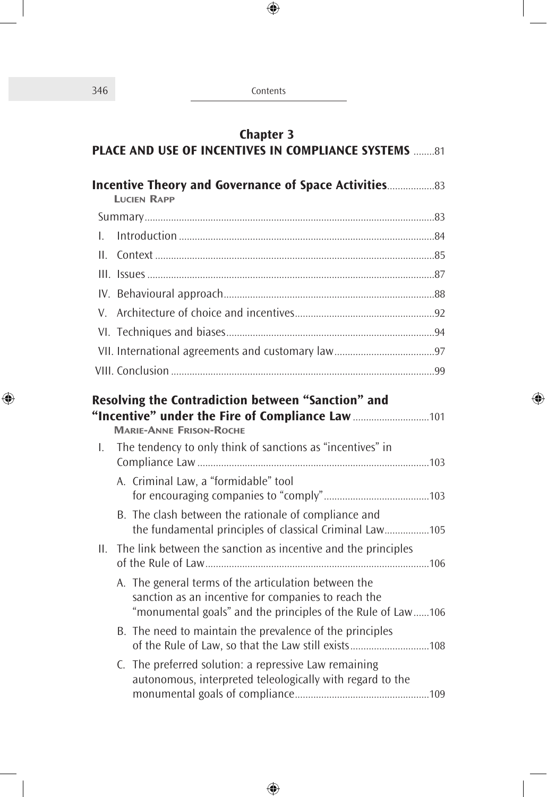346 Contents

 $\bigoplus$ 

 $\overline{\phantom{a}}$ 

 $\bigoplus$ 

 $\overline{\phantom{a}}$ 

| <b>Chapter 3</b><br><b>PLACE AND USE OF INCENTIVES IN COMPLIANCE SYSTEMS</b> 81 |  |                                                                                                                                                                                                        |  |
|---------------------------------------------------------------------------------|--|--------------------------------------------------------------------------------------------------------------------------------------------------------------------------------------------------------|--|
|                                                                                 |  | <b>Incentive Theory and Governance of Space Activities33</b><br><b>LUCIEN RAPP</b>                                                                                                                     |  |
|                                                                                 |  |                                                                                                                                                                                                        |  |
| L.                                                                              |  |                                                                                                                                                                                                        |  |
| Ш.                                                                              |  |                                                                                                                                                                                                        |  |
|                                                                                 |  |                                                                                                                                                                                                        |  |
|                                                                                 |  |                                                                                                                                                                                                        |  |
| V.                                                                              |  |                                                                                                                                                                                                        |  |
|                                                                                 |  |                                                                                                                                                                                                        |  |
|                                                                                 |  |                                                                                                                                                                                                        |  |
|                                                                                 |  |                                                                                                                                                                                                        |  |
| L.                                                                              |  | Resolving the Contradiction between "Sanction" and<br>"Incentive" under the Fire of Compliance Law 101<br><b>MARIE-ANNE FRISON-ROCHE</b><br>The tendency to only think of sanctions as "incentives" in |  |
|                                                                                 |  | A. Criminal Law, a "formidable" tool                                                                                                                                                                   |  |
|                                                                                 |  | B. The clash between the rationale of compliance and<br>the fundamental principles of classical Criminal Law105                                                                                        |  |
| Н.                                                                              |  | The link between the sanction as incentive and the principles                                                                                                                                          |  |
|                                                                                 |  | A. The general terms of the articulation between the<br>sanction as an incentive for companies to reach the<br>"monumental goals" and the principles of the Rule of Law106                             |  |
|                                                                                 |  | B. The need to maintain the prevalence of the principles<br>of the Rule of Law, so that the Law still exists108                                                                                        |  |
|                                                                                 |  | C. The preferred solution: a repressive Law remaining<br>autonomous, interpreted teleologically with regard to the                                                                                     |  |

 $\bigoplus$ 

 $\overline{\phantom{a}}$ 

 $\bigcirc\hspace{-1.5ex}\bigcirc$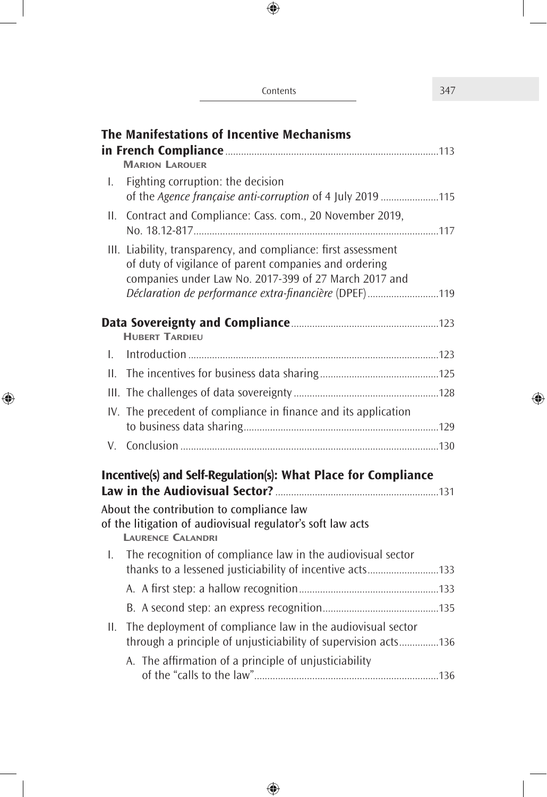|              | The Manifestations of Incentive Mechanisms                                                                                                                                                                                                |
|--------------|-------------------------------------------------------------------------------------------------------------------------------------------------------------------------------------------------------------------------------------------|
|              | <b>MARION LAROUER</b>                                                                                                                                                                                                                     |
| Ι.           | Fighting corruption: the decision<br>of the Agence française anti-corruption of 4 July 2019 115                                                                                                                                           |
| II.          | Contract and Compliance: Cass. com., 20 November 2019,                                                                                                                                                                                    |
|              | III. Liability, transparency, and compliance: first assessment<br>of duty of vigilance of parent companies and ordering<br>companies under Law No. 2017-399 of 27 March 2017 and<br>Déclaration de performance extra-financière (DPEF)119 |
|              | <b>HUBERT TARDIEU</b>                                                                                                                                                                                                                     |
| $\mathbf{L}$ |                                                                                                                                                                                                                                           |
| Ш.           |                                                                                                                                                                                                                                           |
|              |                                                                                                                                                                                                                                           |
|              | IV. The precedent of compliance in finance and its application                                                                                                                                                                            |
|              |                                                                                                                                                                                                                                           |
|              | Incentive(s) and Self-Regulation(s): What Place for Compliance                                                                                                                                                                            |
|              | About the contribution to compliance law                                                                                                                                                                                                  |
|              | of the litigation of audiovisual regulator's soft law acts<br><b>LAURENCE CALANDRI</b>                                                                                                                                                    |
| $\mathbf{L}$ | The recognition of compliance law in the audiovisual sector                                                                                                                                                                               |
|              |                                                                                                                                                                                                                                           |
|              |                                                                                                                                                                                                                                           |

 $\bigoplus$ 

II. The deployment of compliance law in the audiovisual sector

⊕

A. The affrmation of a principle of unjusticiability

through a principle of unjusticiability of supervision acts...............136

of the "calls to the law"......................................................................136

#### Contents 347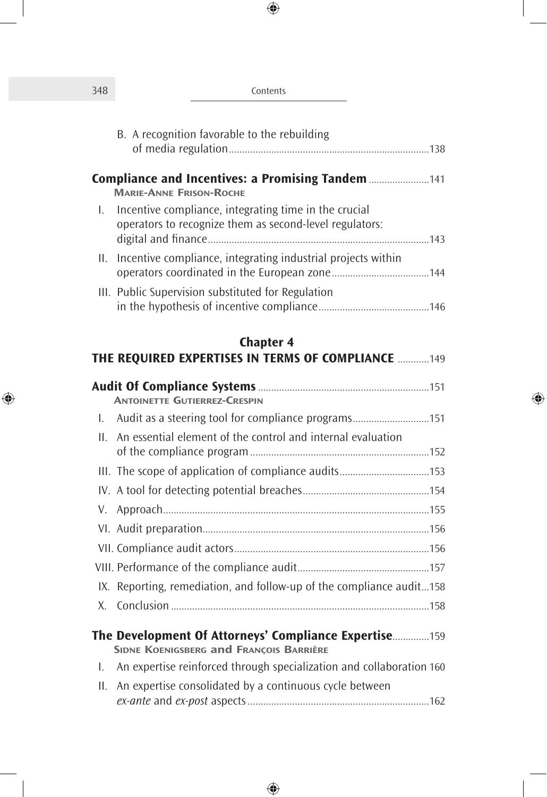| 348 | Contents                                                                                                         |  |
|-----|------------------------------------------------------------------------------------------------------------------|--|
|     | B. A recognition favorable to the rebuilding                                                                     |  |
|     | <b>Compliance and Incentives: a Promising Tandem 141</b><br><b>MARIE-ANNE FRISON-ROCHE</b>                       |  |
| L.  | Incentive compliance, integrating time in the crucial<br>operators to recognize them as second-level regulators: |  |
| Ш.  | Incentive compliance, integrating industrial projects within                                                     |  |
|     | III. Public Supervision substituted for Regulation                                                               |  |
|     | <b>Chapter 4</b><br><b>THE REQUIRED EXPERTISES IN TERMS OF COMPLIANCE 149</b>                                    |  |
|     | <b>ANTOINETTE GUTIERREZ-CRESPIN</b>                                                                              |  |
| L.  | Audit as a steering tool for compliance programs151                                                              |  |
| Н.  | An essential element of the control and internal evaluation                                                      |  |
|     |                                                                                                                  |  |
|     |                                                                                                                  |  |
| V.  |                                                                                                                  |  |
|     |                                                                                                                  |  |
|     |                                                                                                                  |  |
|     |                                                                                                                  |  |
| IX. | Reporting, remediation, and follow-up of the compliance audit158                                                 |  |
| Х.  |                                                                                                                  |  |
|     | The Development Of Attorneys' Compliance Expertise159<br><b>SIDNE KOENIGSBERG and FRANCOIS BARRIÈRE</b>          |  |
| Ι.  | An expertise reinforced through specialization and collaboration 160                                             |  |
| ΙΙ. | An expertise consolidated by a continuous cycle between                                                          |  |

 $\bigoplus$ 

 $\overline{\phantom{a}}$ 

 $\bigoplus$ 

 $\begin{array}{c} \hline \end{array}$ 

 $\overline{\phantom{a}}$ 

 $\bigoplus$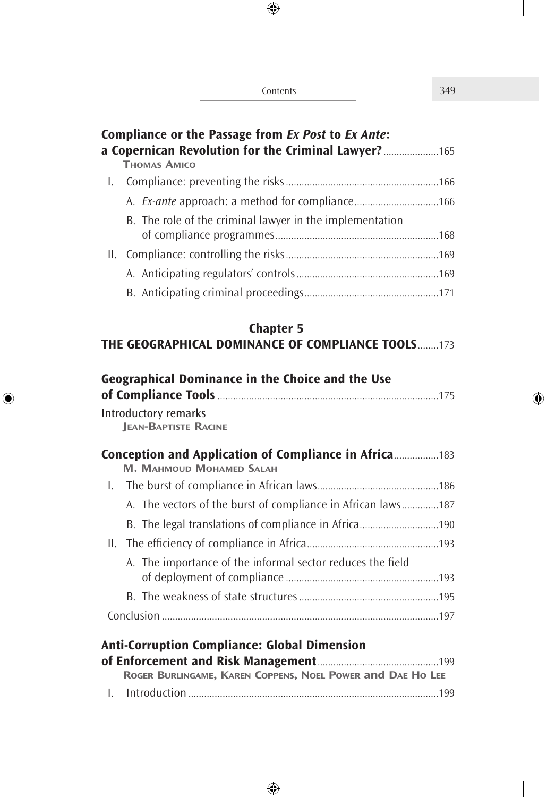| Contents | 349 |
|----------|-----|
|          |     |

 $\overline{\phantom{a}}$ 

 $\bigoplus$ 

 $\overline{\phantom{a}}$ 

|         | Compliance or the Passage from Ex Post to Ex Ante:<br>a Copernican Revolution for the Criminal Lawyer? 165<br><b>THOMAS AMICO</b> |  |
|---------|-----------------------------------------------------------------------------------------------------------------------------------|--|
| L.      |                                                                                                                                   |  |
|         |                                                                                                                                   |  |
|         | B. The role of the criminal lawyer in the implementation                                                                          |  |
| $\Pi$ . |                                                                                                                                   |  |
|         |                                                                                                                                   |  |
|         |                                                                                                                                   |  |
|         | <b>Chapter 5</b>                                                                                                                  |  |
|         | <b>THE GEOGRAPHICAL DOMINANCE OF COMPLIANCE TOOLS173</b>                                                                          |  |
|         | <b>Geographical Dominance in the Choice and the Use</b><br><b>Introductory remarks</b><br><b>JEAN-BAPTISTE RACINE</b>             |  |
|         | <b>Conception and Application of Compliance in Africa183</b><br><b>M. MAHMOUD MOHAMED SALAH</b>                                   |  |
| L.      |                                                                                                                                   |  |
|         | A. The vectors of the burst of compliance in African laws187                                                                      |  |
|         |                                                                                                                                   |  |
| II.     |                                                                                                                                   |  |
|         | A. The importance of the informal sector reduces the field                                                                        |  |
|         |                                                                                                                                   |  |
|         |                                                                                                                                   |  |
|         | <b>Anti-Corruption Compliance: Global Dimension</b>                                                                               |  |

| ROGER BURLINGAME, KAREN COPPENS, NOEL POWER and DAE HO LEE |  |
|------------------------------------------------------------|--|
|                                                            |  |

 $\bigoplus$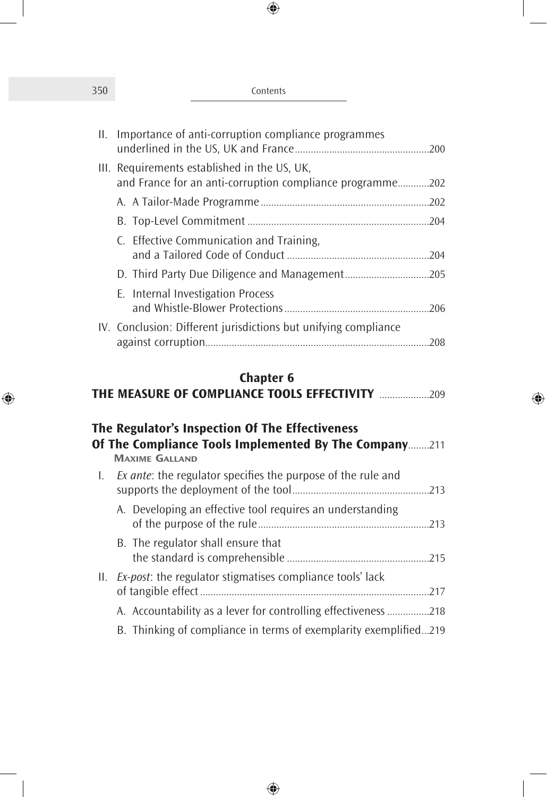| Contents |  |
|----------|--|
|          |  |

 $\overline{\phantom{a}}$ 

 $\bigoplus$ 

| II. | Importance of anti-corruption compliance programmes                                                       |  |
|-----|-----------------------------------------------------------------------------------------------------------|--|
|     | III. Requirements established in the US, UK,<br>and France for an anti-corruption compliance programme202 |  |
|     |                                                                                                           |  |
|     |                                                                                                           |  |
|     | C. Effective Communication and Training,                                                                  |  |
|     |                                                                                                           |  |
|     | E. Internal Investigation Process                                                                         |  |
|     | IV. Conclusion: Different jurisdictions but unifying compliance                                           |  |

## **Chapter 6**

| THE MEASURE OF COMPLIANCE TOOLS EFFECTIVITY |  |  |
|---------------------------------------------|--|--|
|---------------------------------------------|--|--|

|     | The Regulator's Inspection Of The Effectiveness<br>Of The Compliance Tools Implemented By The Company211 |  |
|-----|----------------------------------------------------------------------------------------------------------|--|
|     | <b>MAXIME GALLAND</b>                                                                                    |  |
| L.  | <i>Ex ante:</i> the regulator specifies the purpose of the rule and                                      |  |
|     | A. Developing an effective tool requires an understanding                                                |  |
|     | B. The regulator shall ensure that                                                                       |  |
| II. | Ex-post: the regulator stigmatises compliance tools' lack                                                |  |
|     | A. Accountability as a lever for controlling effectiveness 218                                           |  |
|     | B. Thinking of compliance in terms of exemplarity exemplified219                                         |  |

 $\bigoplus$ 

 $\bigoplus$ 

 $\begin{array}{c} \hline \end{array}$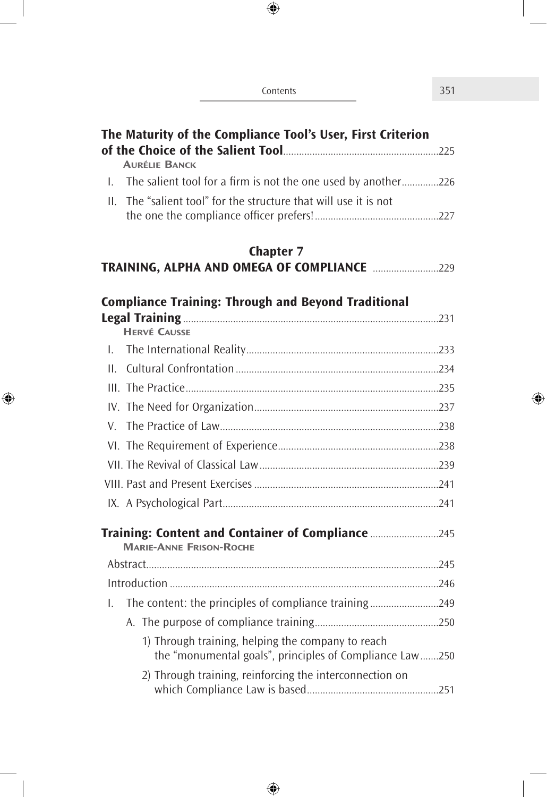| Contents                                                                                                     | 351 |
|--------------------------------------------------------------------------------------------------------------|-----|
| The Maturity of the Compliance Tool's User, First Criterion                                                  |     |
| <b>AURÉLIE BANCK</b>                                                                                         |     |
| 1. The salient tool for a firm is not the one used by another226                                             |     |
| The "salient tool" for the structure that will use it is not<br>$\mathbf{H}$                                 |     |
| <b>Chapter 7</b>                                                                                             |     |
|                                                                                                              |     |
| <b>Compliance Training: Through and Beyond Traditional</b>                                                   |     |
| <b>HERVÉ CAUSSE</b>                                                                                          |     |
| $\mathbf{L}$                                                                                                 |     |
| $\mathbf{H}$                                                                                                 |     |
|                                                                                                              |     |
|                                                                                                              |     |
|                                                                                                              |     |
|                                                                                                              |     |
|                                                                                                              |     |
|                                                                                                              |     |
|                                                                                                              |     |
| Training: Content and Container of Compliance 245<br><b>MARIE-ANNE FRISON-ROCHE</b>                          |     |
|                                                                                                              |     |
|                                                                                                              |     |
| The content: the principles of compliance training249<br>I.                                                  |     |
|                                                                                                              |     |
| 1) Through training, helping the company to reach<br>the "monumental goals", principles of Compliance Law250 |     |
| 2) Through training, reinforcing the interconnection on                                                      |     |

 $\bigoplus$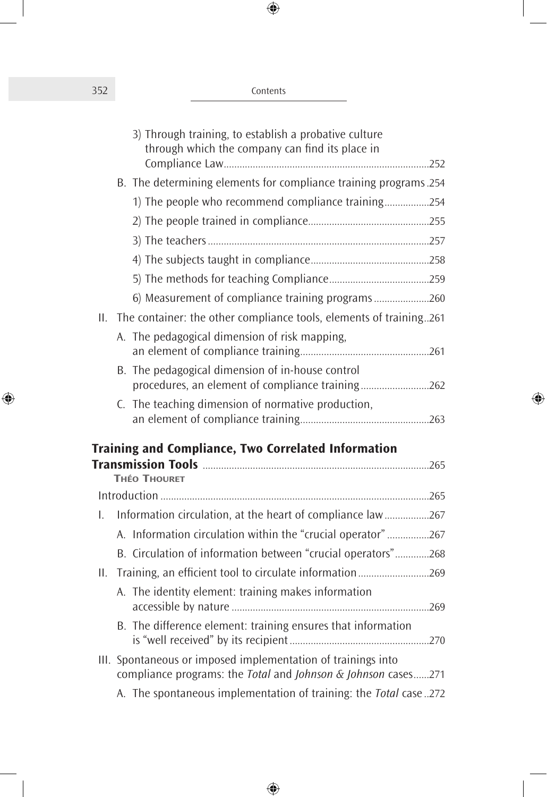| 352 | Contents |
|-----|----------|
|     |          |

|     | 3) Through training, to establish a probative culture<br>through which the company can find its place in                      |  |
|-----|-------------------------------------------------------------------------------------------------------------------------------|--|
|     | B. The determining elements for compliance training programs.254                                                              |  |
|     | 1) The people who recommend compliance training254                                                                            |  |
|     |                                                                                                                               |  |
|     |                                                                                                                               |  |
|     |                                                                                                                               |  |
|     |                                                                                                                               |  |
|     | 6) Measurement of compliance training programs260                                                                             |  |
|     | II. The container: the other compliance tools, elements of training261                                                        |  |
|     | A. The pedagogical dimension of risk mapping,                                                                                 |  |
|     |                                                                                                                               |  |
|     | B. The pedagogical dimension of in-house control                                                                              |  |
|     | procedures, an element of compliance training262                                                                              |  |
|     | C. The teaching dimension of normative production,                                                                            |  |
|     |                                                                                                                               |  |
|     | <b>Training and Compliance, Two Correlated Information</b>                                                                    |  |
|     |                                                                                                                               |  |
|     | <b>THÉO THOURET</b>                                                                                                           |  |
|     |                                                                                                                               |  |
| L.  | Information circulation, at the heart of compliance law267                                                                    |  |
|     | A. Information circulation within the "crucial operator"267                                                                   |  |
|     | B. Circulation of information between "crucial operators"268                                                                  |  |
| II. | Training, an efficient tool to circulate information269                                                                       |  |
|     | A. The identity element: training makes information                                                                           |  |
|     | B. The difference element: training ensures that information                                                                  |  |
|     | III. Spontaneous or imposed implementation of trainings into<br>compliance programs: the Total and Johnson & Johnson cases271 |  |
|     | A. The spontaneous implementation of training: the Total case272                                                              |  |

 $\bigoplus$ 

 $\bigoplus$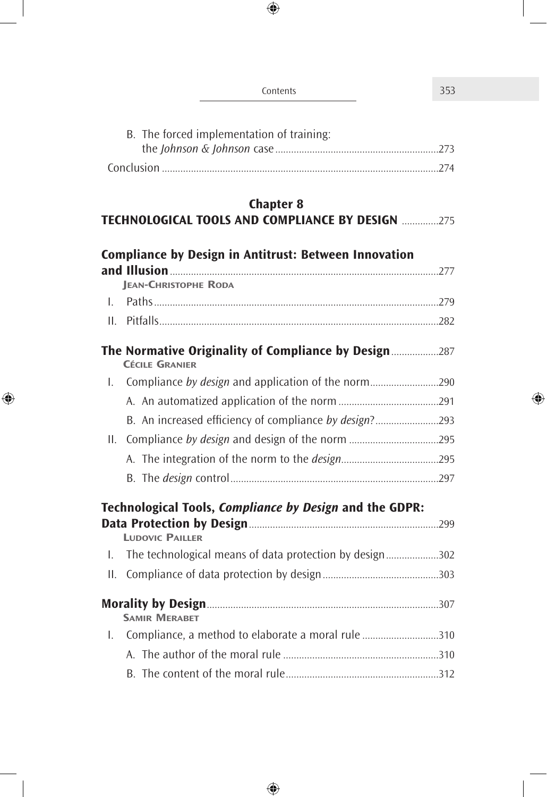| Contents                                                                          | 353 |
|-----------------------------------------------------------------------------------|-----|
| B. The forced implementation of training:                                         |     |
| <b>Chapter 8</b><br><b>TECHNOLOGICAL TOOLS AND COMPLIANCE BY DESIGN 275</b>       |     |
| <b>Compliance by Design in Antitrust: Between Innovation</b>                      |     |
| <b>JEAN-CHRISTOPHE RODA</b><br>L.<br>$\Pi$ .                                      |     |
| The Normative Originality of Compliance by Design287<br><b>CÉCILE GRANIER</b>     |     |
| L.                                                                                |     |
|                                                                                   |     |
|                                                                                   |     |
| II.                                                                               |     |
|                                                                                   |     |
|                                                                                   |     |
| Technological Tools, Compliance by Design and the GDPR:<br><b>LUDOVIC PAILLER</b> |     |
| The technological means of data protection by design302<br>I.                     |     |
| II.                                                                               |     |
| <b>SAMIR MERABET</b>                                                              |     |
| Compliance, a method to elaborate a moral rule 310<br>I.                          |     |
|                                                                                   |     |
|                                                                                   |     |

 $\bigoplus$ 

 $\overline{\phantom{a}}$ 

 $\bigoplus$ 

 $\overline{\phantom{a}}$ 

 $\bigoplus$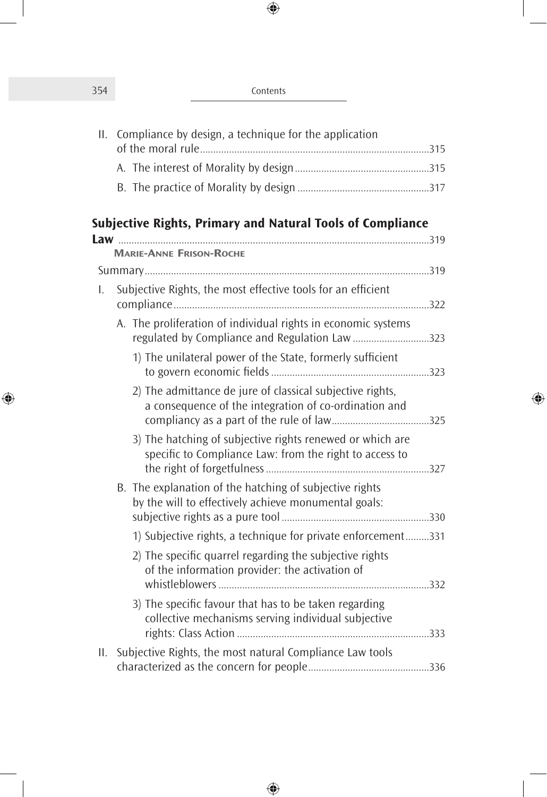| 354 | Contents |
|-----|----------|
|     |          |

 $\overline{\phantom{a}}$ 

 $\bigoplus$ 

| II. | Compliance by design, a technique for the application                                                                |  |
|-----|----------------------------------------------------------------------------------------------------------------------|--|
|     |                                                                                                                      |  |
|     |                                                                                                                      |  |
|     |                                                                                                                      |  |
|     | Subjective Rights, Primary and Natural Tools of Compliance                                                           |  |
|     |                                                                                                                      |  |
|     | <b>MARIE-ANNE FRISON-ROCHE</b>                                                                                       |  |
|     |                                                                                                                      |  |
| I.  | Subjective Rights, the most effective tools for an efficient                                                         |  |
|     | A. The proliferation of individual rights in economic systems<br>regulated by Compliance and Regulation Law 323      |  |
|     | 1) The unilateral power of the State, formerly sufficient                                                            |  |
|     | 2) The admittance de jure of classical subjective rights,<br>a consequence of the integration of co-ordination and   |  |
|     | 3) The hatching of subjective rights renewed or which are<br>specific to Compliance Law: from the right to access to |  |
|     | B. The explanation of the hatching of subjective rights<br>by the will to effectively achieve monumental goals:      |  |
|     | 1) Subjective rights, a technique for private enforcement331                                                         |  |
|     | 2) The specific quarrel regarding the subjective rights<br>of the information provider: the activation of            |  |
|     | 3) The specific favour that has to be taken regarding<br>collective mechanisms serving individual subjective         |  |
| Н.  | Subjective Rights, the most natural Compliance Law tools                                                             |  |
|     |                                                                                                                      |  |

 $\bigoplus$ 

 $\bigoplus$